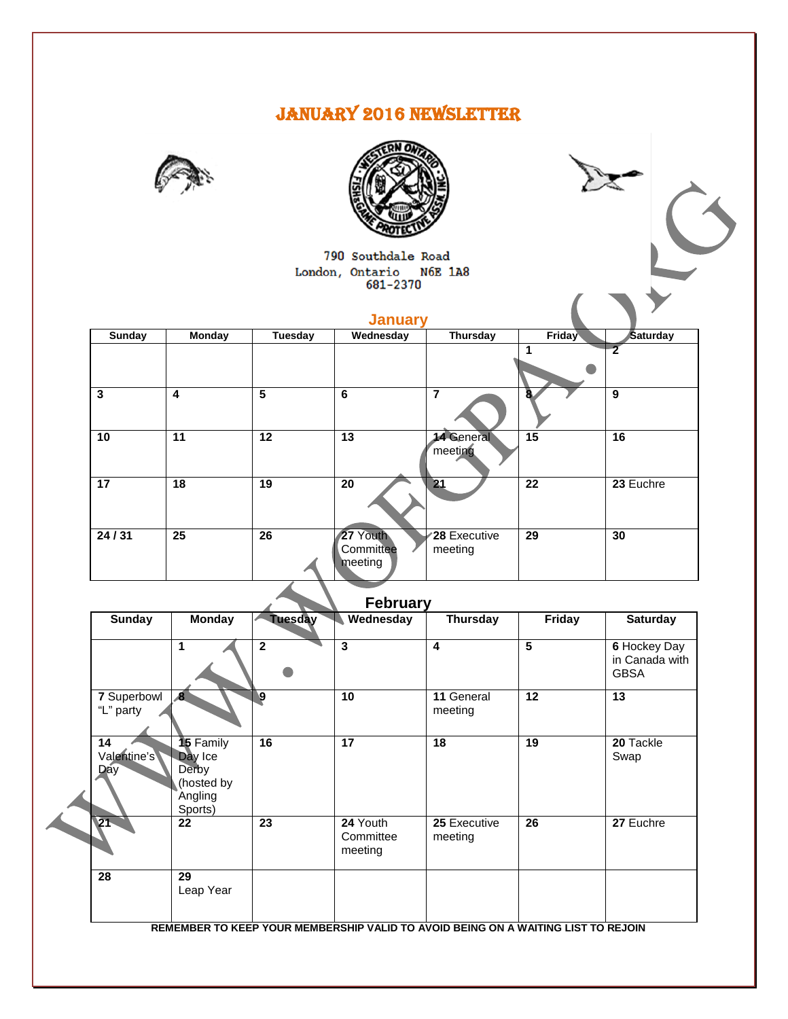# JANUARY 2016 NEWSLETTER





790 Southdale Road London, Ontario N6E 1A8<br>681-2370

| ____<br>___<br>M. |  |
|-------------------|--|
|-------------------|--|

| Sunday | <b>Monday</b>  | Tuesday | Wednesday                        | Thursday                       | Friday          | Saturday  |
|--------|----------------|---------|----------------------------------|--------------------------------|-----------------|-----------|
|        |                |         |                                  |                                |                 |           |
| 3      | $\overline{4}$ | 5       | 6                                | 7                              | 8.              | 9         |
| 10     | 11             | 12      | 13                               | <b>14 General</b><br>meeting   | $\overline{15}$ | 16        |
| 17     | 18             | 19      | 20                               | 21                             | 22              | 23 Euchre |
| 24/31  | 25             | 26      | 27 Youth<br>Committee<br>meeting | <b>28 Executive</b><br>meeting | 29              | 30        |

# **February**

| <b>Sunday</b>                   | <b>Monday</b>                                                            | <b>Tuesday</b> | Wednesday                        | <b>Thursday</b>                                                                   | Friday | <b>Saturday</b>                               |
|---------------------------------|--------------------------------------------------------------------------|----------------|----------------------------------|-----------------------------------------------------------------------------------|--------|-----------------------------------------------|
|                                 | 1                                                                        | $\mathbf{2}$   | 3                                | 4                                                                                 | 5      | 6 Hockey Day<br>in Canada with<br><b>GBSA</b> |
| 7 Superbowl<br>"L" party        | $\boldsymbol{8}$                                                         | 9              | 10                               | 11 General<br>meeting                                                             | 12     | 13                                            |
| 14<br>Valentine's<br><b>Day</b> | <b>15</b> Family<br>Day Ice<br>Derby<br>(hosted by<br>Angling<br>Sports) | 16             | 17                               | 18                                                                                | 19     | 20 Tackle<br>Swap                             |
| 21                              | 22                                                                       | 23             | 24 Youth<br>Committee<br>meeting | 25 Executive<br>meeting                                                           | 26     | 27 Euchre                                     |
| 28                              | 29<br>Leap Year                                                          |                |                                  |                                                                                   |        |                                               |
|                                 |                                                                          |                |                                  | REMEMBER TO KEEP YOUR MEMBERSHIP VALID TO AVOID BEING ON A WAITING LIST TO REJOIN |        |                                               |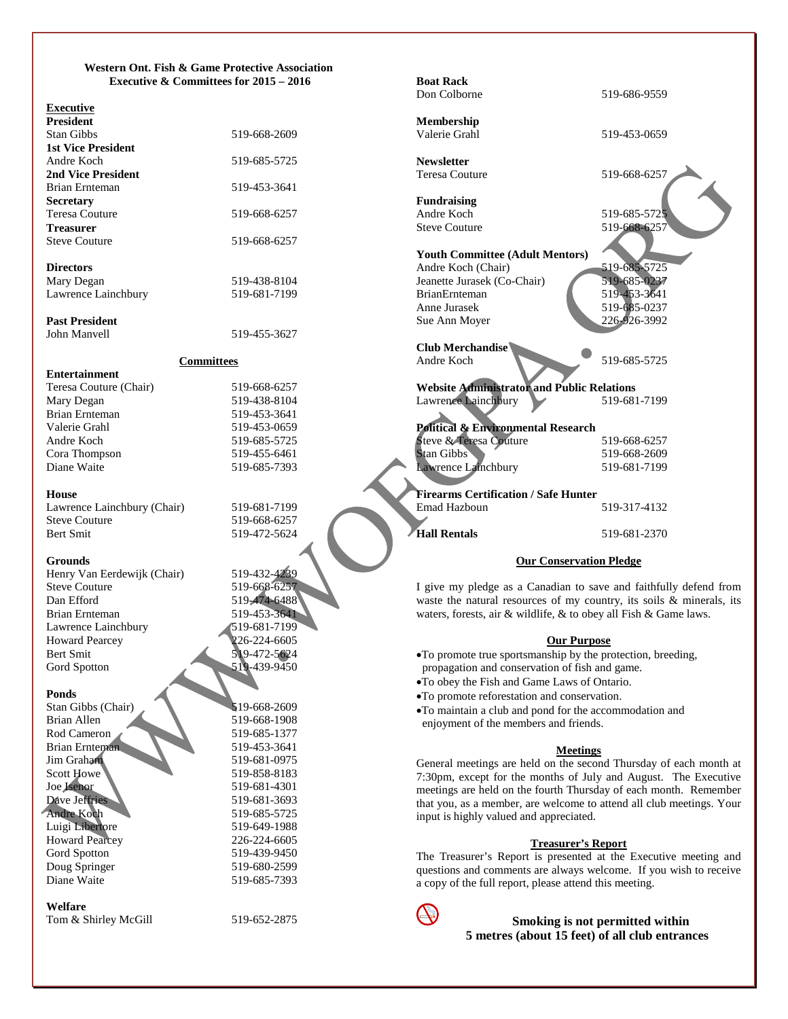#### **Western Ont. Fish & Game Protective Association Executive & Committees for 2015 – 2016**

#### **Executive**

| <b>President</b>          |              |
|---------------------------|--------------|
| <b>Stan Gibbs</b>         | 519-668-2609 |
| <b>1st Vice President</b> |              |
| Andre Koch                | 519-685-5725 |
| <b>2nd Vice President</b> |              |
| Brian Ernteman            | 519-453-3641 |
| <b>Secretary</b>          |              |
| Teresa Couture            | 519-668-6257 |
| <b>Treasurer</b>          |              |
| <b>Steve Couture</b>      | 519-668-6257 |
| <b>Directors</b>          |              |
| Mary Degan                | 519-438-8104 |
| Lawrence Lainchbury       | 519-681-7199 |

**Past President**

**Entertainment**

#### **Committees**

519-455-3627

519-472-5624

519-474-6488<br>519-453-3641

519-439-9450

519-668-1908

519-681-4301<br>519-681-3693

| Teresa Couture (Chair) | 519-668-6257 |
|------------------------|--------------|
| Mary Degan             | 519-438-8104 |
| Brian Ernteman         | 519-453-3641 |
| Valerie Grahl          | 519-453-0659 |
| Andre Koch             | 519-685-5725 |
| Cora Thompson          | 519-455-6461 |
| Diane Waite            | 519-685-7393 |
|                        |              |

#### **House**

Lawrence Lainchbury (Chair) 519-681-7199 Steve Couture 519-668-6257<br>Bert Smit 519-472-5624

#### **Grounds**

Henry Van Eerdewijk (Chair) 519-432-4239<br>Steve Couture 519-668-6257 Steve Couture 519-668-6257<br>
Dan Efford 519-474-6488 Brian Ernteman Lawrence Lainchbury 519-681-7199 Howard Pearcey 226-224-6605<br>Bert Smit 519-472-5624 Bert Smit 519-472-5624<br>Gord Spotton 519-439-9450

#### **Ponds**

Stan Gibbs (Chair)<br>Brian Allen 519-668-1908 Rod Cameron 519-685-1377 Brian Ernteman 519-453-3641 Jim Graham 519-681-0975 Scott Howe 519-858-8183<br>
Joe Jsenor 519-681-4301 Dave Jeffries Andre Koch 519-685-5725 Luigi Libertore 519-649-1988 Howard Pearcey 226-224-6605 Gord Spotton 519-439-9450 Doug Springer 519-680-2599 Diane Waite 519-685-7393

# **Welfare**

Tom & Shirley McGill 519-652-2875



| <b>Boat Rack</b><br>Don Colborne                  |              |
|---------------------------------------------------|--------------|
|                                                   | 519-686-9559 |
| <b>Membership</b>                                 |              |
| Valerie Grahl                                     | 519-453-0659 |
|                                                   |              |
| <b>Newsletter</b>                                 |              |
| <b>Teresa Couture</b>                             | 519-668-6257 |
|                                                   |              |
| <b>Fundraising</b>                                |              |
| Andre Koch                                        | 519-685-5725 |
| <b>Steve Couture</b>                              | 519-668-6257 |
|                                                   |              |
| <b>Youth Committee (Adult Mentors)</b>            |              |
| Andre Koch (Chair)                                | 519-685-5725 |
| Jeanette Jurasek (Co-Chair)                       | 519-685-0237 |
| <b>BrianErnteman</b>                              | 519-453-3641 |
| Anne Jurasek                                      | 519-685-0237 |
| Sue Ann Moyer                                     | 226-926-3992 |
| Club Merchandise                                  |              |
| Andre Koch                                        | 519-685-5725 |
|                                                   |              |
| <b>Website Administrator and Public Relations</b> |              |
| Lawrence Lainchbury                               | 519-681-7199 |
|                                                   |              |
| <b>Political &amp; Environmental Research</b>     |              |
| Steve & Teresa Couture                            | 519-668-6257 |
| <b>Stan Gibbs</b>                                 | 519-668-2609 |
| Lawrence Lainchbury                               | 519-681-7199 |
|                                                   |              |
| <b>Firearms Certification / Safe Hunter</b>       |              |
| Emad Hazboun                                      | 519-317-4132 |
|                                                   |              |
| Hall Rentals                                      | 519-681-2370 |
|                                                   |              |
| <b>Our Conservation Pledge</b>                    |              |
|                                                   |              |

I give my pledge as a Canadian to save and faithfully defend from waste the natural resources of my country, its soils & minerals, its waters, forests, air & wildlife, & to obey all Fish & Game laws.

#### **Our Purpose**

•To promote true sportsmanship by the protection, breeding, propagation and conservation of fish and game.

- •To obey the Fish and Game Laws of Ontario.
- •To promote reforestation and conservation.
- •To maintain a club and pond for the accommodation and enjoyment of the members and friends.

#### **Meetings**

General meetings are held on the second Thursday of each month at 7:30pm, except for the months of July and August. The Executive meetings are held on the fourth Thursday of each month. Remember that you, as a member, are welcome to attend all club meetings. Your input is highly valued and appreciated.

#### **Treasurer's Report**

The Treasurer's Report is presented at the Executive meeting and questions and comments are always welcome. If you wish to receive a copy of the full report, please attend this meeting.



**Smoking is not permitted within 5 metres (about 15 feet) of all club entrances**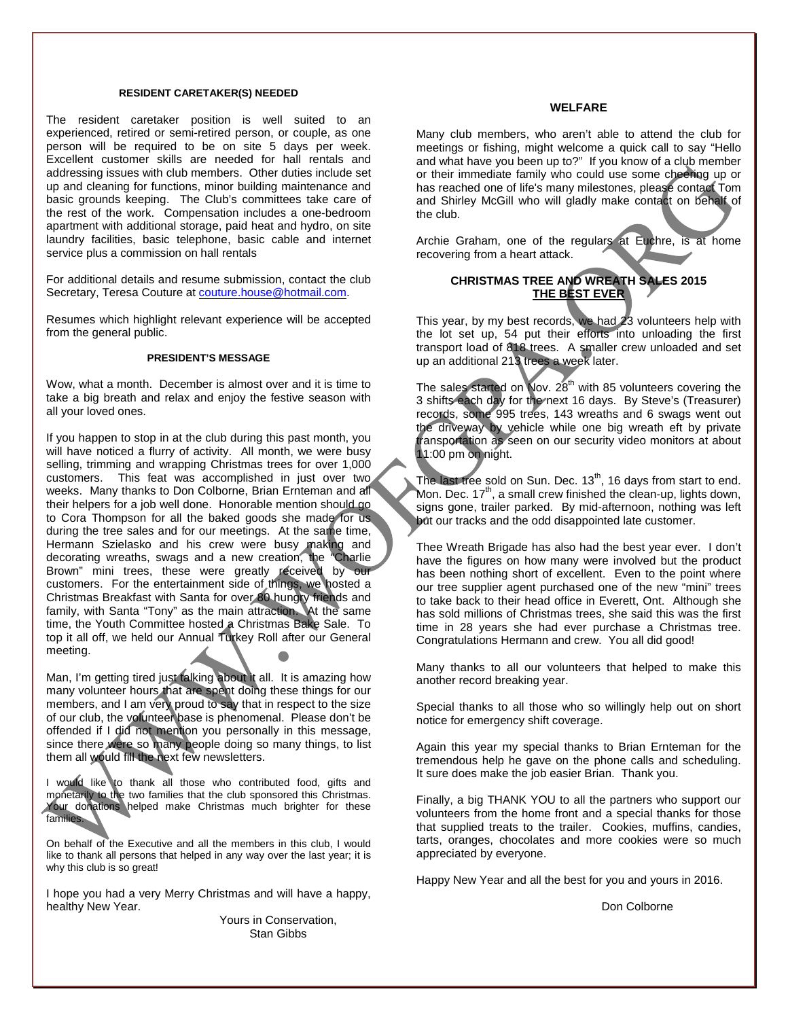#### **RESIDENT CARETAKER(S) NEEDED**

The resident caretaker position is well suited to an experienced, retired or semi-retired person, or couple, as one person will be required to be on site 5 days per week. Excellent customer skills are needed for hall rentals and addressing issues with club members. Other duties include set up and cleaning for functions, minor building maintenance and basic grounds keeping. The Club's committees take care of the rest of the work. Compensation includes a one-bedroom apartment with additional storage, paid heat and hydro, on site laundry facilities, basic telephone, basic cable and internet service plus a commission on hall rentals

For additional details and resume submission, contact the club Secretary, Teresa Couture a[t couture.house@hotmail.com.](mailto:couture.house@hotmail.com)

Resumes which highlight relevant experience will be accepted from the general public.

#### **PRESIDENT'S MESSAGE**

Wow, what a month. December is almost over and it is time to take a big breath and relax and enjoy the festive season with all your loved ones.

If you happen to stop in at the club during this past month, you will have noticed a flurry of activity. All month, we were busy selling, trimming and wrapping Christmas trees for over 1,000 customers. This feat was accomplished in just over two weeks. Many thanks to Don Colborne, Brian Ernteman and all their helpers for a job well done. Honorable mention should go to Cora Thompson for all the baked goods she made for us during the tree sales and for our meetings. At the same time, Hermann Szielasko and his crew were busy making and decorating wreaths, swags and a new creation, the "Charlie Brown" mini trees, these were greatly received by our customers. For the entertainment side of things, we hosted a Christmas Breakfast with Santa for over 80 hungry friends and family, with Santa "Tony" as the main attraction. At the same time, the Youth Committee hosted a Christmas Bake Sale. To top it all off, we held our Annual Turkey Roll after our General meeting.

Man, I'm getting tired just talking about it all. It is amazing how many volunteer hours that are spent doing these things for our members, and I am very proud to say that in respect to the size of our club, the volunteer base is phenomenal. Please don't be offended if I did not mention you personally in this message, since there were so many people doing so many things, to list them all would fill the next few newsletters.

I would like to thank all those who contributed food, gifts and monetarily to the two families that the club sponsored this Christmas. Your donations helped make Christmas much brighter for these families.

On behalf of the Executive and all the members in this club, I would like to thank all persons that helped in any way over the last year; it is why this club is so great!

I hope you had a very Merry Christmas and will have a happy, healthy New Year.

> Yours in Conservation, Stan Gibbs

#### **WELFARE**

Many club members, who aren't able to attend the club for meetings or fishing, might welcome a quick call to say "Hello and what have you been up to?" If you know of a club member or their immediate family who could use some cheering up or has reached one of life's many milestones, please contact Tom and Shirley McGill who will gladly make contact on behalf of the club.

Archie Graham, one of the regulars at Euchre, is at home recovering from a heart attack.

## **CHRISTMAS TREE AND WREATH SALES 2015 THE BEST EVER**

This year, by my best records, we had 23 volunteers help with the lot set up, 54 put their efforts into unloading the first transport load of 818 trees. A smaller crew unloaded and set up an additional 213 trees a week later.

The sales started on Nov.  $28<sup>th</sup>$  with 85 volunteers covering the 3 shifts each day for the next 16 days. By Steve's (Treasurer) records, some 995 trees, 143 wreaths and 6 swags went out the driveway by vehicle while one big wreath eft by private transportation as seen on our security video monitors at about 11:00 pm on night.

The last tree sold on Sun. Dec.  $13<sup>th</sup>$ , 16 days from start to end. Mon. Dec.  $17<sup>th</sup>$ , a small crew finished the clean-up, lights down, signs gone, trailer parked. By mid-afternoon, nothing was left but our tracks and the odd disappointed late customer.

Thee Wreath Brigade has also had the best year ever. I don't have the figures on how many were involved but the product has been nothing short of excellent. Even to the point where our tree supplier agent purchased one of the new "mini" trees to take back to their head office in Everett, Ont. Although she has sold millions of Christmas trees, she said this was the first time in 28 years she had ever purchase a Christmas tree. Congratulations Hermann and crew. You all did good!

Many thanks to all our volunteers that helped to make this another record breaking year.

Special thanks to all those who so willingly help out on short notice for emergency shift coverage.

Again this year my special thanks to Brian Ernteman for the tremendous help he gave on the phone calls and scheduling. It sure does make the job easier Brian. Thank you.

Finally, a big THANK YOU to all the partners who support our volunteers from the home front and a special thanks for those that supplied treats to the trailer. Cookies, muffins, candies, tarts, oranges, chocolates and more cookies were so much appreciated by everyone.

Happy New Year and all the best for you and yours in 2016.

Don Colborne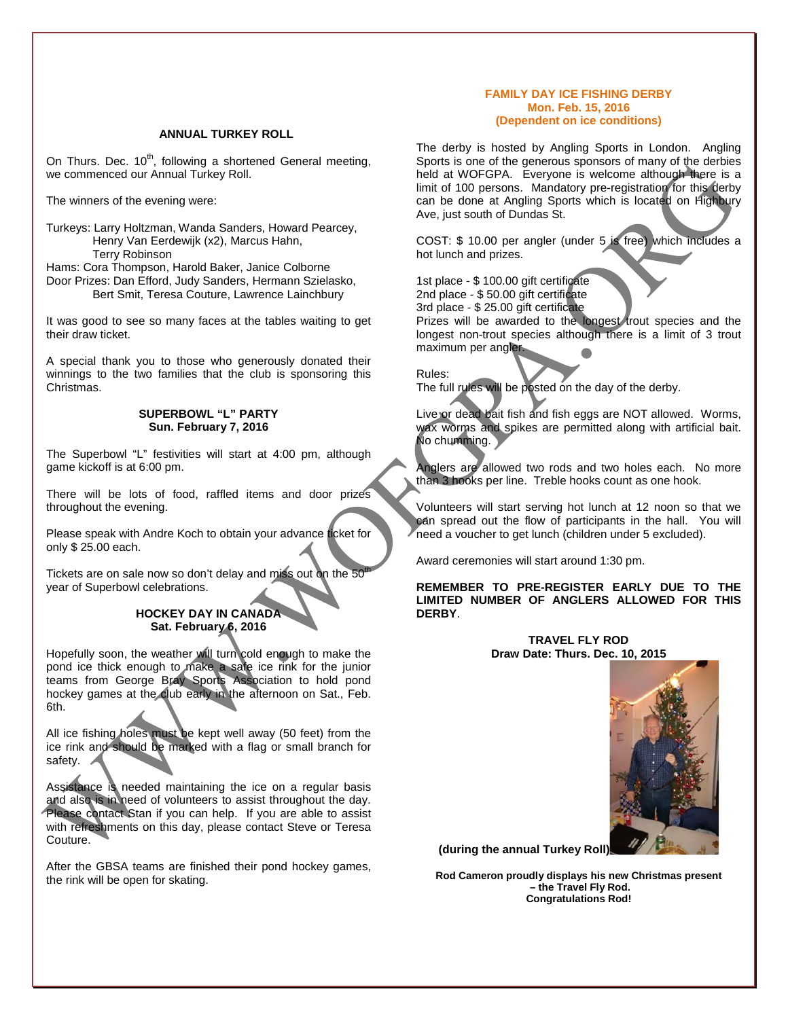#### **ANNUAL TURKEY ROLL**

On Thurs. Dec.  $10^{th}$ , following a shortened General meeting, we commenced our Annual Turkey Roll.

The winners of the evening were:

Turkeys: Larry Holtzman, Wanda Sanders, Howard Pearcey, Henry Van Eerdewijk (x2), Marcus Hahn, Terry Robinson

Hams: Cora Thompson, Harold Baker, Janice Colborne Door Prizes: Dan Efford, Judy Sanders, Hermann Szielasko, Bert Smit, Teresa Couture, Lawrence Lainchbury

It was good to see so many faces at the tables waiting to get their draw ticket.

A special thank you to those who generously donated their winnings to the two families that the club is sponsoring this Christmas.

#### **SUPERBOWL "L" PARTY Sun. February 7, 2016**

The Superbowl "L" festivities will start at 4:00 pm, although game kickoff is at 6:00 pm.

There will be lots of food, raffled items and door prizes throughout the evening.

Please speak with Andre Koch to obtain your advance ticket for only \$ 25.00 each.

Tickets are on sale now so don't delay and miss out on the 50 year of Superbowl celebrations.

## **HOCKEY DAY IN CANADA Sat. February 6, 2016**

Hopefully soon, the weather will turn cold enough to make the pond ice thick enough to make a safe ice rink for the junior teams from George Bray Sports Association to hold pond hockey games at the club early in the afternoon on Sat., Feb. 6th.

All ice fishing holes must be kept well away (50 feet) from the ice rink and should be marked with a flag or small branch for safety. /

Assistance is needed maintaining the ice on a regular basis and also is in need of volunteers to assist throughout the day. Please contact Stan if you can help. If you are able to assist with refreshments on this day, please contact Steve or Teresa Couture.

After the GBSA teams are finished their pond hockey games, the rink will be open for skating.

#### **FAMILY DAY ICE FISHING DERBY Mon. Feb. 15, 2016 (Dependent on ice conditions)**

The derby is hosted by Angling Sports in London. Angling Sports is one of the generous sponsors of many of the derbies held at WOFGPA. Everyone is welcome although there is a limit of 100 persons. Mandatory pre-registration for this derby can be done at Angling Sports which is located on Highbury Ave, just south of Dundas St.

COST: \$ 10.00 per angler (under 5 is free) which includes a hot lunch and prizes.

1st place - \$ 100.00 gift certificate 2nd place - \$ 50.00 gift certificate

3rd place - \$ 25.00 gift certificate

Prizes will be awarded to the longest trout species and the longest non-trout species although there is a limit of 3 trout maximum per angler.

Rules:

The full rules will be posted on the day of the derby.

Live or dead bait fish and fish eggs are NOT allowed. Worms, wax worms and spikes are permitted along with artificial bait. No chumming.

Anglers are allowed two rods and two holes each. No more than 3 hooks per line. Treble hooks count as one hook.

Volunteers will start serving hot lunch at 12 noon so that we can spread out the flow of participants in the hall. You will need a voucher to get lunch (children under 5 excluded).

Award ceremonies will start around 1:30 pm.

**REMEMBER TO PRE-REGISTER EARLY DUE TO THE LIMITED NUMBER OF ANGLERS ALLOWED FOR THIS DERBY**.

> **TRAVEL FLY ROD Draw Date: Thurs. Dec. 10, 2015**



**(during the annual Turkey Roll)**

**Rod Cameron proudly displays his new Christmas present – the Travel Fly Rod. Congratulations Rod!**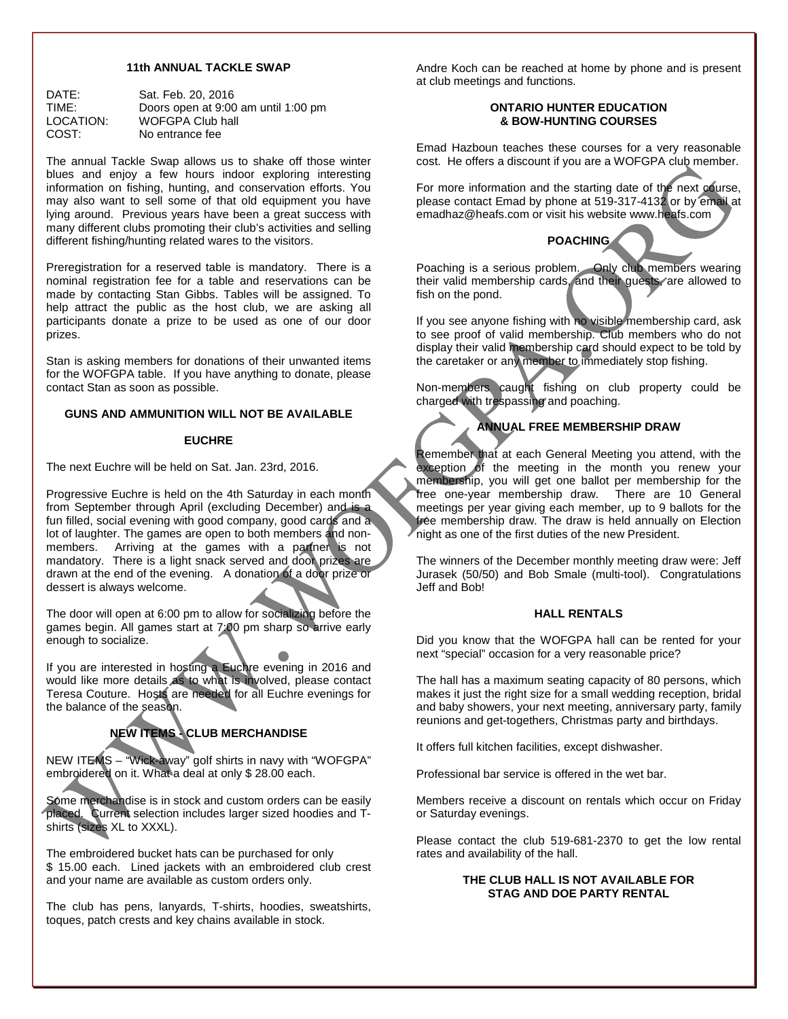#### **11th ANNUAL TACKLE SWAP**

| DATE:     | Sat. Feb. 20, 2016                  |
|-----------|-------------------------------------|
| TIME:     | Doors open at 9:00 am until 1:00 pm |
| LOCATION: | WOFGPA Club hall                    |
| COST:     | No entrance fee                     |

The annual Tackle Swap allows us to shake off those winter blues and enjoy a few hours indoor exploring interesting information on fishing, hunting, and conservation efforts. You may also want to sell some of that old equipment you have lying around. Previous years have been a great success with many different clubs promoting their club's activities and selling different fishing/hunting related wares to the visitors.

Preregistration for a reserved table is mandatory. There is a nominal registration fee for a table and reservations can be made by contacting Stan Gibbs. Tables will be assigned. To help attract the public as the host club, we are asking all participants donate a prize to be used as one of our door prizes.

Stan is asking members for donations of their unwanted items for the WOFGPA table. If you have anything to donate, please contact Stan as soon as possible.

#### **GUNS AND AMMUNITION WILL NOT BE AVAILABLE**

#### **EUCHRE**

The next Euchre will be held on Sat. Jan. 23rd, 2016.

Progressive Euchre is held on the 4th Saturday in each month from September through April (excluding December) and is a fun filled, social evening with good company, good cards and a lot of laughter. The games are open to both members and nonmembers. Arriving at the games with a partner is not mandatory. There is a light snack served and door prizes are drawn at the end of the evening. A donation of a door prize or dessert is always welcome.

The door will open at 6:00 pm to allow for socializing before the games begin. All games start at 7:00 pm sharp so arrive early enough to socialize.

If you are interested in hosting a Euchre evening in 2016 and would like more details as to what is involved, please contact Teresa Couture. Hosts are needed for all Euchre evenings for the balance of the season.

# **NEW ITEMS - CLUB MERCHANDISE**

NEW ITEMS – "Wick-away" golf shirts in navy with "WOFGPA" embroidered on it. What a deal at only \$ 28.00 each.

Some merchandise is in stock and custom orders can be easily placed. Current selection includes larger sized hoodies and Tshirts (sizes XL to XXXL).

The embroidered bucket hats can be purchased for only \$ 15.00 each. Lined jackets with an embroidered club crest and your name are available as custom orders only.

The club has pens, lanyards, T-shirts, hoodies, sweatshirts, toques, patch crests and key chains available in stock.

Andre Koch can be reached at home by phone and is present at club meetings and functions.

#### **ONTARIO HUNTER EDUCATION & BOW-HUNTING COURSES**

Emad Hazboun teaches these courses for a very reasonable cost. He offers a discount if you are a WOFGPA club member.

For more information and the starting date of the next course, please contact Emad by phone at 519-317-4132 or by email at emadhaz@heafs.com or visit his website www.heafs.com

# **POACHING**

Poaching is a serious problem. Only club members wearing their valid membership cards, and their guests, are allowed to fish on the pond.

If you see anyone fishing with no visible membership card, ask to see proof of valid membership. Club members who do not display their valid membership card should expect to be told by the caretaker or any member to immediately stop fishing.

Non-members caught fishing on club property could be charged with trespassing and poaching.

# **ANNUAL FREE MEMBERSHIP DRAW**

Remember that at each General Meeting you attend, with the exception of the meeting in the month you renew your membership, you will get one ballot per membership for the free one-year membership draw. There are 10 General meetings per year giving each member, up to 9 ballots for the frée membership draw. The draw is held annually on Election night as one of the first duties of the new President.

The winners of the December monthly meeting draw were: Jeff Jurasek (50/50) and Bob Smale (multi-tool). Congratulations Jeff and Bob!

#### **HALL RENTALS**

Did you know that the WOFGPA hall can be rented for your next "special" occasion for a very reasonable price?

The hall has a maximum seating capacity of 80 persons, which makes it just the right size for a small wedding reception, bridal and baby showers, your next meeting, anniversary party, family reunions and get-togethers, Christmas party and birthdays.

It offers full kitchen facilities, except dishwasher.

Professional bar service is offered in the wet bar.

Members receive a discount on rentals which occur on Friday or Saturday evenings.

Please contact the club 519-681-2370 to get the low rental rates and availability of the hall.

#### **THE CLUB HALL IS NOT AVAILABLE FOR STAG AND DOE PARTY RENTAL**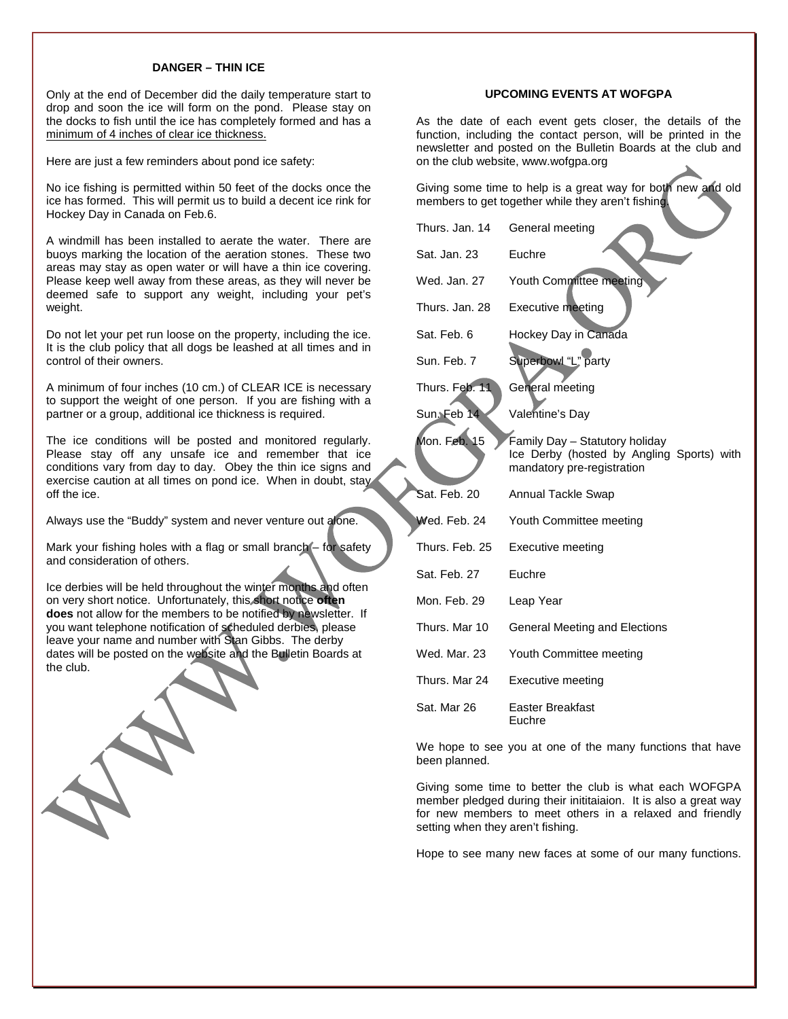#### **DANGER – THIN ICE**

Only at the end of December did the daily temperature start to drop and soon the ice will form on the pond. Please stay on the docks to fish until the ice has completely formed and has a minimum of 4 inches of clear ice thickness.

Here are just a few reminders about pond ice safety:

No ice fishing is permitted within 50 feet of the docks once the ice has formed. This will permit us to build a decent ice rink for Hockey Day in Canada on Feb.6.

A windmill has been installed to aerate the water. There are buoys marking the location of the aeration stones. These two areas may stay as open water or will have a thin ice covering. Please keep well away from these areas, as they will never be deemed safe to support any weight, including your pet's weight.

Do not let your pet run loose on the property, including the ice. It is the club policy that all dogs be leashed at all times and in control of their owners.

A minimum of four inches (10 cm.) of CLEAR ICE is necessary to support the weight of one person. If you are fishing with a partner or a group, additional ice thickness is required.

The ice conditions will be posted and monitored regularly. Please stay off any unsafe ice and remember that ice conditions vary from day to day. Obey the thin ice signs and exercise caution at all times on pond ice. When in doubt, stay off the ice.

Always use the "Buddy" system and never venture out alone.

Mark your fishing holes with a flag or small branch – for safety and consideration of others.

Ice derbies will be held throughout the winter months and often on very short notice. Unfortunately, this short notice **often does** not allow for the members to be notified by newsletter. If you want telephone notification of scheduled derbies, please leave your name and number with Stan Gibbs. The derby dates will be posted on the website and the Bulletin Boards at the club.

#### **UPCOMING EVENTS AT WOFGPA**

As the date of each event gets closer, the details of the function, including the contact person, will be printed in the newsletter and posted on the Bulletin Boards at the club and on the club website, www.wofgpa.org

Giving some time to help is a great way for both new and old members to get together while they aren't fishing.

| Thurs, Jan. 14 | General meeting                                                                                           |
|----------------|-----------------------------------------------------------------------------------------------------------|
| Sat. Jan. 23   | Euchre                                                                                                    |
| Wed. Jan. 27   | Youth Committee meeting                                                                                   |
| Thurs, Jan. 28 | <b>Executive meeting</b>                                                                                  |
| Sat. Feb. 6    | Hockey Day in Canada                                                                                      |
| Sun, Feb. 7    | Superbowl "L" party                                                                                       |
| Thurs. Feb. 11 | General meeting                                                                                           |
| Sun Feb 14     | Valentine's Day                                                                                           |
| Mon. Feb. 15   | Family Day - Statutory holiday<br>Ice Derby (hosted by Angling Sports) with<br>mandatory pre-registration |
| Sat. Feb. 20   | Annual Tackle Swap                                                                                        |
| Wed. Feb. 24   | Youth Committee meeting                                                                                   |
| Thurs, Feb. 25 | Executive meeting                                                                                         |
| Sat. Feb. 27   | Euchre                                                                                                    |
| Mon. Feb. 29   | Leap Year                                                                                                 |
| Thurs, Mar 10  | General Meeting and Elections                                                                             |
| Wed. Mar. 23   | Youth Committee meeting                                                                                   |
| Thurs, Mar 24  | Executive meeting                                                                                         |
| Sat. Mar 26    | Easter Breakfast<br>Euchre                                                                                |

We hope to see you at one of the many functions that have been planned.

Giving some time to better the club is what each WOFGPA member pledged during their inititaiaion. It is also a great way for new members to meet others in a relaxed and friendly setting when they aren't fishing.

Hope to see many new faces at some of our many functions.